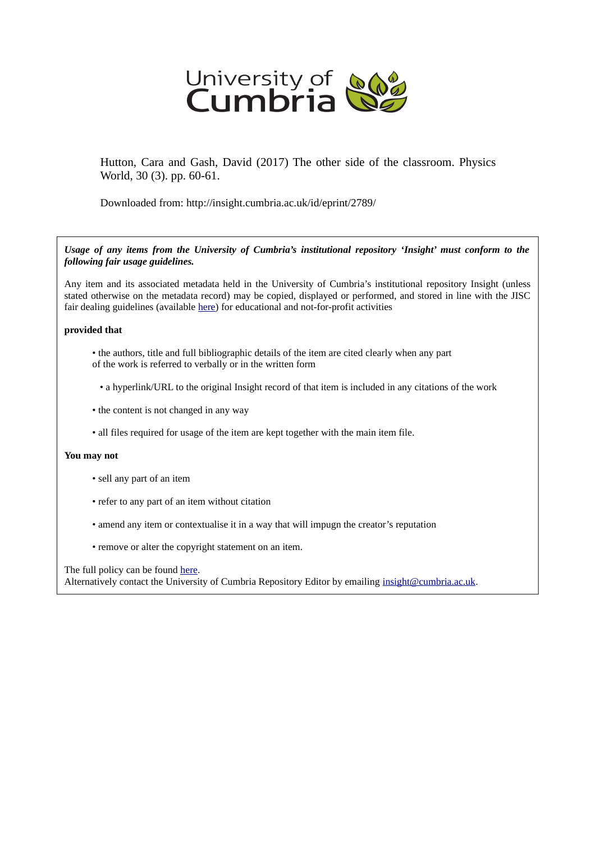

Hutton, Cara and Gash, David (2017) The other side of the classroom. Physics World, 30 (3). pp. 60-61.

Downloaded from: http://insight.cumbria.ac.uk/id/eprint/2789/

*Usage of any items from the University of Cumbria's institutional repository 'Insight' must conform to the following fair usage guidelines.*

Any item and its associated metadata held in the University of Cumbria's institutional repository Insight (unless stated otherwise on the metadata record) may be copied, displayed or performed, and stored in line with the JISC fair dealing guidelines (available [here\)](http://www.ukoln.ac.uk/services/elib/papers/pa/fair/) for educational and not-for-profit activities

#### **provided that**

- the authors, title and full bibliographic details of the item are cited clearly when any part of the work is referred to verbally or in the written form
	- a hyperlink/URL to the original Insight record of that item is included in any citations of the work
- the content is not changed in any way
- all files required for usage of the item are kept together with the main item file.

#### **You may not**

- sell any part of an item
- refer to any part of an item without citation
- amend any item or contextualise it in a way that will impugn the creator's reputation
- remove or alter the copyright statement on an item.

The full policy can be found [here.](http://insight.cumbria.ac.uk/legal.html#section5)

Alternatively contact the University of Cumbria Repository Editor by emailing [insight@cumbria.ac.uk.](mailto:insight@cumbria.ac.uk)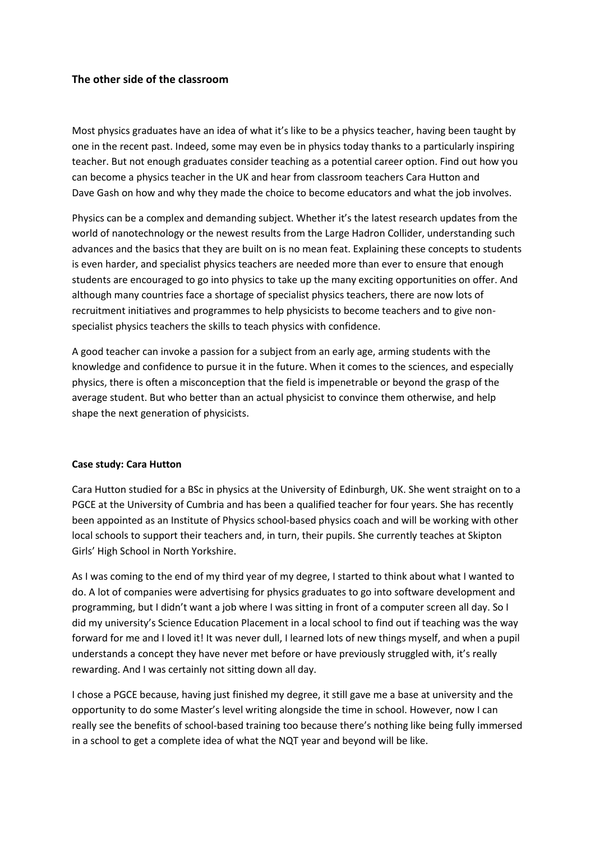# **The other side of the classroom**

Most physics graduates have an idea of what it's like to be a physics teacher, having been taught by one in the recent past. Indeed, some may even be in physics today thanks to a particularly inspiring teacher. But not enough graduates consider teaching as a potential career option. Find out how you can become a physics teacher in the UK and hear from classroom teachers Cara Hutton and Dave Gash on how and why they made the choice to become educators and what the job involves.

Physics can be a complex and demanding subject. Whether it's the latest research updates from the world of nanotechnology or the newest results from the Large Hadron Collider, understanding such advances and the basics that they are built on is no mean feat. Explaining these concepts to students is even harder, and specialist physics teachers are needed more than ever to ensure that enough students are encouraged to go into physics to take up the many exciting opportunities on offer. And although many countries face a shortage of specialist physics teachers, there are now lots of recruitment initiatives and programmes to help physicists to become teachers and to give nonspecialist physics teachers the skills to teach physics with confidence.

A good teacher can invoke a passion for a subject from an early age, arming students with the knowledge and confidence to pursue it in the future. When it comes to the sciences, and especially physics, there is often a misconception that the field is impenetrable or beyond the grasp of the average student. But who better than an actual physicist to convince them otherwise, and help shape the next generation of physicists.

### **Case study: Cara Hutton**

Cara Hutton studied for a BSc in physics at the University of Edinburgh, UK. She went straight on to a PGCE at the University of Cumbria and has been a qualified teacher for four years. She has recently been appointed as an Institute of Physics school-based physics coach and will be working with other local schools to support their teachers and, in turn, their pupils. She currently teaches at Skipton Girls' High School in North Yorkshire.

As I was coming to the end of my third year of my degree, I started to think about what I wanted to do. A lot of companies were advertising for physics graduates to go into software development and programming, but I didn't want a job where I was sitting in front of a computer screen all day. So I did my university's Science Education Placement in a local school to find out if teaching was the way forward for me and I loved it! It was never dull, I learned lots of new things myself, and when a pupil understands a concept they have never met before or have previously struggled with, it's really rewarding. And I was certainly not sitting down all day.

I chose a PGCE because, having just finished my degree, it still gave me a base at university and the opportunity to do some Master's level writing alongside the time in school. However, now I can really see the benefits of school-based training too because there's nothing like being fully immersed in a school to get a complete idea of what the NQT year and beyond will be like.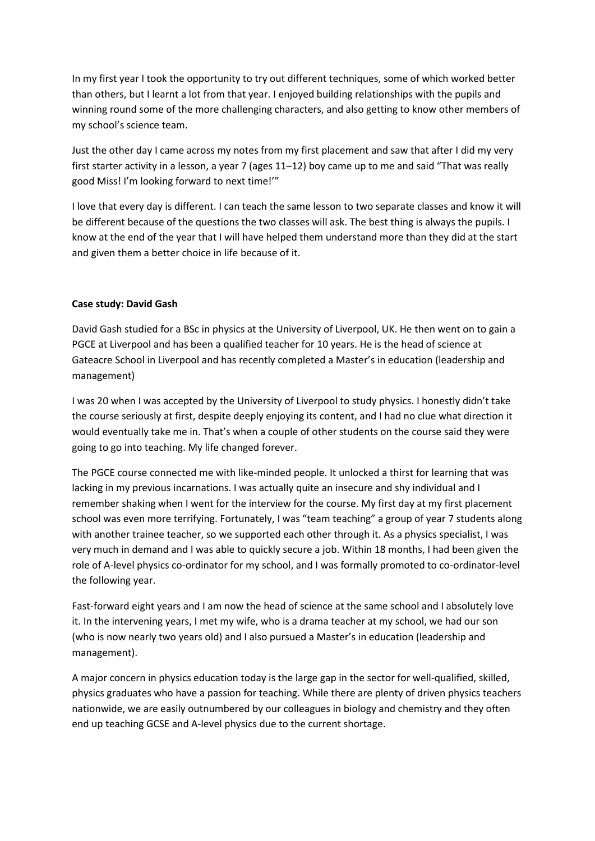In my first year I took the opportunity to try out different techniques, some of which worked better than others, but I learnt a lot from that year. I enjoyed building relationships with the pupils and winning round some of the more challenging characters, and also getting to know other members of my school's science team.

Just the other day I came across my notes from my first placement and saw that after I did my very first starter activity in a lesson, a year 7 (ages 11–12) boy came up to me and said "That was really good Miss! I'm looking forward to next time!'"

I love that every day is different. I can teach the same lesson to two separate classes and know it will be different because of the questions the two classes will ask. The best thing is always the pupils. I know at the end of the year that I will have helped them understand more than they did at the start and given them a better choice in life because of it.

## **Case study: David Gash**

David Gash studied for a BSc in physics at the University of Liverpool, UK. He then went on to gain a PGCE at Liverpool and has been a qualified teacher for 10 years. He is the head of science at Gateacre School in Liverpool and has recently completed a Master's in education (leadership and management)

I was 20 when I was accepted by the University of Liverpool to study physics. I honestly didn't take the course seriously at first, despite deeply enjoying its content, and I had no clue what direction it would eventually take me in. That's when a couple of other students on the course said they were going to go into teaching. My life changed forever.

The PGCE course connected me with like-minded people. It unlocked a thirst for learning that was lacking in my previous incarnations. I was actually quite an insecure and shy individual and I remember shaking when I went for the interview for the course. My first day at my first placement school was even more terrifying. Fortunately, I was "team teaching" a group of year 7 students along with another trainee teacher, so we supported each other through it. As a physics specialist, I was very much in demand and I was able to quickly secure a job. Within 18 months, I had been given the role of A-level physics co-ordinator for my school, and I was formally promoted to co-ordinator-level the following year.

Fast-forward eight years and I am now the head of science at the same school and I absolutely love it. In the intervening years, I met my wife, who is a drama teacher at my school, we had our son (who is now nearly two years old) and I also pursued a Master's in education (leadership and management).

A major concern in physics education today is the large gap in the sector for well-qualified, skilled, physics graduates who have a passion for teaching. While there are plenty of driven physics teachers nationwide, we are easily outnumbered by our colleagues in biology and chemistry and they often end up teaching GCSE and A-level physics due to the current shortage.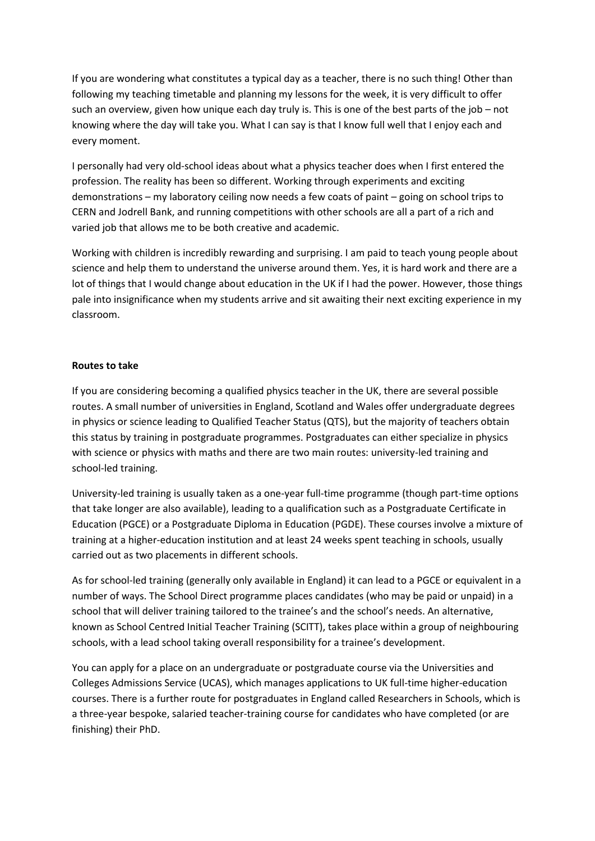If you are wondering what constitutes a typical day as a teacher, there is no such thing! Other than following my teaching timetable and planning my lessons for the week, it is very difficult to offer such an overview, given how unique each day truly is. This is one of the best parts of the job – not knowing where the day will take you. What I can say is that I know full well that I enjoy each and every moment.

I personally had very old-school ideas about what a physics teacher does when I first entered the profession. The reality has been so different. Working through experiments and exciting demonstrations – my laboratory ceiling now needs a few coats of paint – going on school trips to CERN and Jodrell Bank, and running competitions with other schools are all a part of a rich and varied job that allows me to be both creative and academic.

Working with children is incredibly rewarding and surprising. I am paid to teach young people about science and help them to understand the universe around them. Yes, it is hard work and there are a lot of things that I would change about education in the UK if I had the power. However, those things pale into insignificance when my students arrive and sit awaiting their next exciting experience in my classroom.

### **Routes to take**

If you are considering becoming a qualified physics teacher in the UK, there are several possible routes. A small number of universities in England, Scotland and Wales offer undergraduate degrees in physics or science leading to Qualified Teacher Status (QTS), but the majority of teachers obtain this status by training in postgraduate programmes. Postgraduates can either specialize in physics with science or physics with maths and there are two main routes: university-led training and school-led training.

University-led training is usually taken as a one-year full-time programme (though part-time options that take longer are also available), leading to a qualification such as a Postgraduate Certificate in Education (PGCE) or a Postgraduate Diploma in Education (PGDE). These courses involve a mixture of training at a higher-education institution and at least 24 weeks spent teaching in schools, usually carried out as two placements in different schools.

As for school-led training (generally only available in England) it can lead to a PGCE or equivalent in a number of ways. The School Direct programme places candidates (who may be paid or unpaid) in a school that will deliver training tailored to the trainee's and the school's needs. An alternative, known as School Centred Initial Teacher Training (SCITT), takes place within a group of neighbouring schools, with a lead school taking overall responsibility for a trainee's development.

You can apply for a place on an undergraduate or postgraduate course via the Universities and Colleges Admissions Service (UCAS), which manages applications to UK full-time higher-education courses. There is a further route for postgraduates in England called Researchers in Schools, which is a three-year bespoke, salaried teacher-training course for candidates who have completed (or are finishing) their PhD.